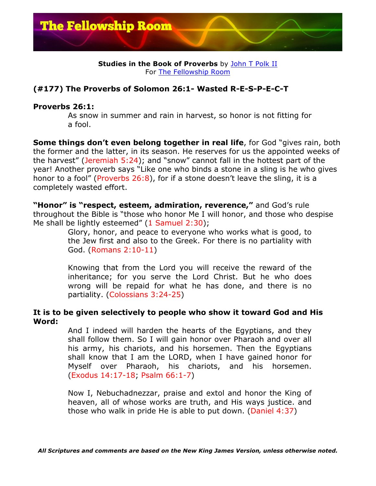

### **Studies in the Book of Proverbs** by John T Polk II For The Fellowship Room

# **(#177) The Proverbs of Solomon 26:1- Wasted R-E-S-P-E-C-T**

## **Proverbs 26:1:**

As snow in summer and rain in harvest, so honor is not fitting for a fool.

**Some things don't even belong together in real life**, for God "gives rain, both the former and the latter, in its season. He reserves for us the appointed weeks of the harvest" (Jeremiah 5:24); and "snow" cannot fall in the hottest part of the year! Another proverb says "Like one who binds a stone in a sling is he who gives honor to a fool" (Proverbs 26:8), for if a stone doesn't leave the sling, it is a completely wasted effort.

**"Honor" is "respect, esteem, admiration, reverence,"** and God's rule throughout the Bible is "those who honor Me I will honor, and those who despise Me shall be lightly esteemed" (1 Samuel 2:30);

> Glory, honor, and peace to everyone who works what is good, to the Jew first and also to the Greek. For there is no partiality with God. (Romans 2:10-11)

> Knowing that from the Lord you will receive the reward of the inheritance; for you serve the Lord Christ. But he who does wrong will be repaid for what he has done, and there is no partiality. (Colossians 3:24-25)

### **It is to be given selectively to people who show it toward God and His Word:**

And I indeed will harden the hearts of the Egyptians, and they shall follow them. So I will gain honor over Pharaoh and over all his army, his chariots, and his horsemen. Then the Egyptians shall know that I am the LORD, when I have gained honor for Myself over Pharaoh, his chariots, and his horsemen. (Exodus 14:17-18; Psalm 66:1-7)

Now I, Nebuchadnezzar, praise and extol and honor the King of heaven, all of whose works are truth, and His ways justice. and those who walk in pride He is able to put down. (Daniel 4:37)